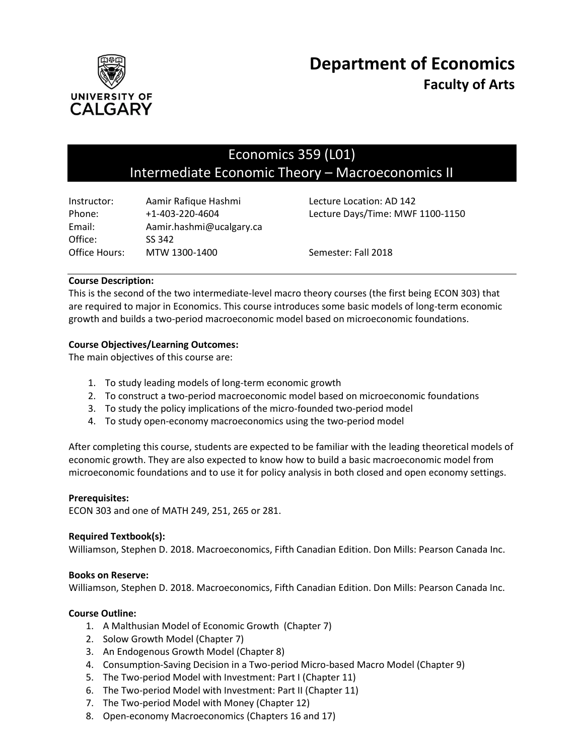

# Economics 359 (L01) Intermediate Economic Theory – Macroeconomics II

| Instructor:   | Aamir Rafique Hashmi     | Lecture Location: AD 142         |
|---------------|--------------------------|----------------------------------|
| Phone:        | $+1 - 403 - 220 - 4604$  | Lecture Days/Time: MWF 1100-1150 |
| Email:        | Aamir.hashmi@ucalgary.ca |                                  |
| Office:       | SS 342                   |                                  |
| Office Hours: | MTW 1300-1400            | Semester: Fall 2018              |

# **Course Description:**

This is the second of the two intermediate-level macro theory courses (the first being ECON 303) that are required to major in Economics. This course introduces some basic models of long-term economic growth and builds a two-period macroeconomic model based on microeconomic foundations.

# **Course Objectives/Learning Outcomes:**

The main objectives of this course are:

- 1. To study leading models of long-term economic growth
- 2. To construct a two-period macroeconomic model based on microeconomic foundations
- 3. To study the policy implications of the micro-founded two-period model
- 4. To study open-economy macroeconomics using the two-period model

After completing this course, students are expected to be familiar with the leading theoretical models of economic growth. They are also expected to know how to build a basic macroeconomic model from microeconomic foundations and to use it for policy analysis in both closed and open economy settings.

## **Prerequisites:**

ECON 303 and one of MATH 249, 251, 265 or 281.

## **Required Textbook(s):**

Williamson, Stephen D. 2018. Macroeconomics, Fifth Canadian Edition. Don Mills: Pearson Canada Inc.

## **Books on Reserve:**

Williamson, Stephen D. 2018. Macroeconomics, Fifth Canadian Edition. Don Mills: Pearson Canada Inc.

## **Course Outline:**

- 1. A Malthusian Model of Economic Growth (Chapter 7)
- 2. Solow Growth Model (Chapter 7)
- 3. An Endogenous Growth Model (Chapter 8)
- 4. Consumption-Saving Decision in a Two-period Micro-based Macro Model (Chapter 9)
- 5. The Two-period Model with Investment: Part I (Chapter 11)
- 6. The Two-period Model with Investment: Part II (Chapter 11)
- 7. The Two-period Model with Money (Chapter 12)
- 8. Open-economy Macroeconomics (Chapters 16 and 17)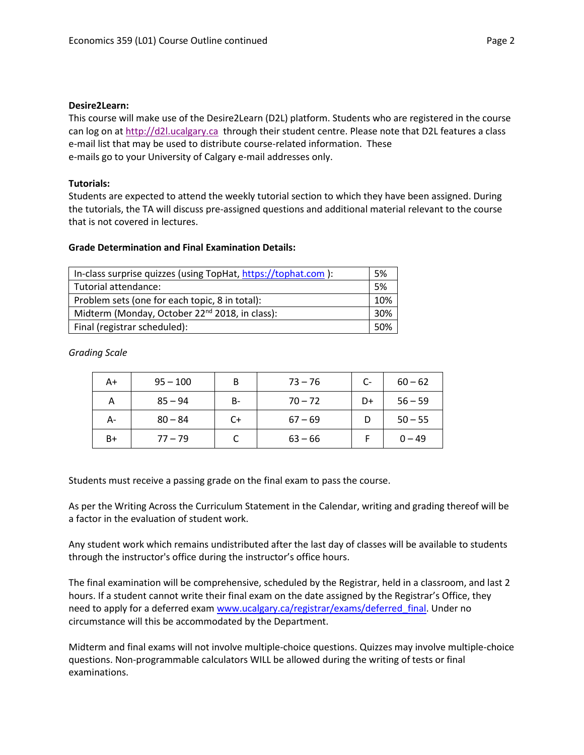## **Desire2Learn:**

This course will make use of the Desire2Learn (D2L) platform. Students who are registered in the course can log on a[t http://d2l.ucalgary.ca](http://d2l.ucalgary.ca/) through their student centre. Please note that D2L features a class e-mail list that may be used to distribute course-related information. These e-mails go to your University of Calgary e-mail addresses only.

# **Tutorials:**

Students are expected to attend the weekly tutorial section to which they have been assigned. During the tutorials, the TA will discuss pre-assigned questions and additional material relevant to the course that is not covered in lectures.

# **Grade Determination and Final Examination Details:**

| In-class surprise quizzes (using TopHat, https://tophat.com): |    |  |
|---------------------------------------------------------------|----|--|
| Tutorial attendance:                                          | 5% |  |
| Problem sets (one for each topic, 8 in total):                |    |  |
| Midterm (Monday, October 22 <sup>nd</sup> 2018, in class):    |    |  |
| Final (registrar scheduled):                                  |    |  |

*Grading Scale*

| A+ | $95 - 100$ | B    | $73 - 76$ | C- | $60 - 62$ |
|----|------------|------|-----------|----|-----------|
| A  | $85 - 94$  | B-   | $70 - 72$ | D+ | $56 - 59$ |
| А- | $80 - 84$  | $C+$ | $67 - 69$ |    | $50 - 55$ |
| B+ | $77 - 79$  |      | $63 - 66$ |    | $0 - 49$  |

Students must receive a passing grade on the final exam to pass the course.

As per the Writing Across the Curriculum Statement in the Calendar, writing and grading thereof will be a factor in the evaluation of student work.

Any student work which remains undistributed after the last day of classes will be available to students through the instructor's office during the instructor's office hours.

The final examination will be comprehensive, scheduled by the Registrar, held in a classroom, and last 2 hours. If a student cannot write their final exam on the date assigned by the Registrar's Office, they need to apply for a deferred exam [www.ucalgary.ca/registrar/exams/deferred\\_final.](http://www.ucalgary.ca/registrar/exams/deferred_final) Under no circumstance will this be accommodated by the Department.

Midterm and final exams will not involve multiple-choice questions. Quizzes may involve multiple-choice questions. Non-programmable calculators WILL be allowed during the writing of tests or final examinations.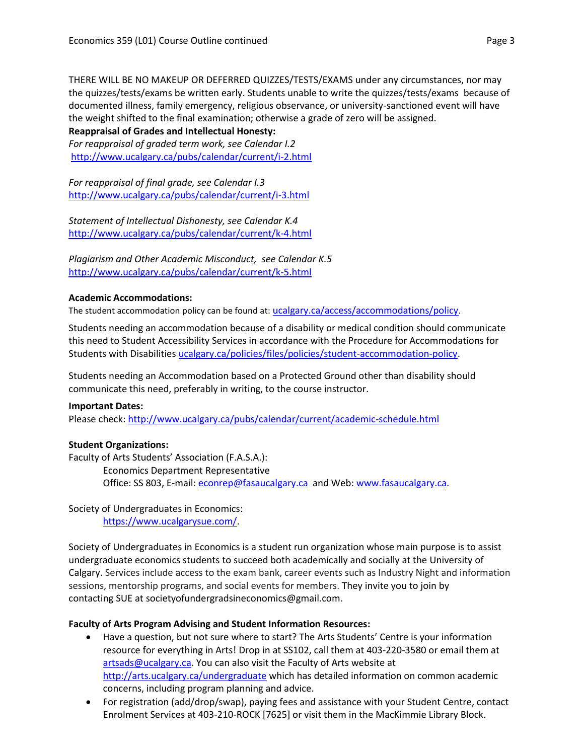THERE WILL BE NO MAKEUP OR DEFERRED QUIZZES/TESTS/EXAMS under any circumstances, nor may the quizzes/tests/exams be written early. Students unable to write the quizzes/tests/exams because of documented illness, family emergency, religious observance, or university-sanctioned event will have the weight shifted to the final examination; otherwise a grade of zero will be assigned.

# **Reappraisal of Grades and Intellectual Honesty:**

*For reappraisal of graded term work, see Calendar I.2* <http://www.ucalgary.ca/pubs/calendar/current/i-2.html>

*For reappraisal of final grade, see Calendar I.3* <http://www.ucalgary.ca/pubs/calendar/current/i-3.html>

*Statement of Intellectual Dishonesty, see Calendar K.4* <http://www.ucalgary.ca/pubs/calendar/current/k-4.html>

*Plagiarism and Other Academic Misconduct, see Calendar K.5* <http://www.ucalgary.ca/pubs/calendar/current/k-5.html>

# **Academic Accommodations:**

The student accommodation policy can be found at: [ucalgary.ca/access/accommodations/policy](http://www.ucalgary.ca/access/accommodations/policy).

Students needing an accommodation because of a disability or medical condition should communicate this need to Student Accessibility Services in accordance with the Procedure for Accommodations for Students with Disabilities [ucalgary.ca/policies/files/policies/student-accommodation-policy.](http://www.ucalgary.ca/policies/files/policies/student-accommodation-policy.pdf)

Students needing an Accommodation based on a Protected Ground other than disability should communicate this need, preferably in writing, to the course instructor.

## **Important Dates:**

Please check:<http://www.ucalgary.ca/pubs/calendar/current/academic-schedule.html>

# **Student Organizations:**

Faculty of Arts Students' Association (F.A.S.A.): Economics Department Representative Office: SS 803, E-mail: [econrep@fasaucalgary.ca](mailto:econrep@fasaucalgary.ca) and Web[: www.fasaucalgary.ca.](http://www.fasaucalgary.ca/)

Society of Undergraduates in Economics: [https://www.ucalgarysue.com/.](https://www.ucalgarysue.com/)

Society of Undergraduates in Economics is a student run organization whose main purpose is to assist undergraduate economics students to succeed both academically and socially at the University of Calgary. Services include access to the exam bank, career events such as Industry Night and information sessions, mentorship programs, and social events for members. They invite you to join by contacting SUE at societyofundergradsineconomics@gmail.com.

# **Faculty of Arts Program Advising and Student Information Resources:**

- Have a question, but not sure where to start? The Arts Students' Centre is your information resource for everything in Arts! Drop in at SS102, call them at 403-220-3580 or email them at [artsads@ucalgary.ca.](mailto:artsads@ucalgary.ca) You can also visit the Faculty of Arts website at <http://arts.ucalgary.ca/undergraduate> which has detailed information on common academic concerns, including program planning and advice.
- For registration (add/drop/swap), paying fees and assistance with your Student Centre, contact Enrolment Services at 403-210-ROCK [7625] or visit them in the MacKimmie Library Block.